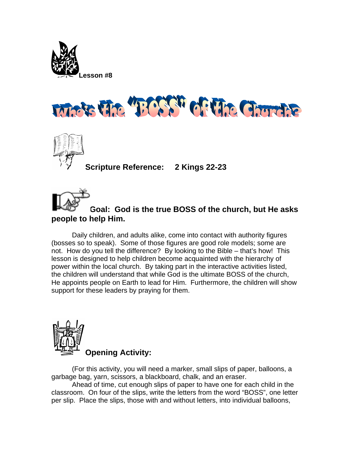





**Scripture Reference: 2 Kings 22-23** 



## **Goal: God is the true BOSS of the church, but He a sks people to help Him.**

Daily children, and adults alike, come into contact with authority figures (bosses so to speak). Some of those figures are good role models; some are not. How do you tell the difference? By looking to the Bible – that's how! This lesson is designed to help children become acquainted with the hierarchy of power within the local church. By taking part in the interactive activities listed, the children will understand that while God is the ultimate BOSS of the church, He appoints people on Earth to lead for Him. Furthermore, the children will show support for these leaders by praying for them.



(For this activity, you will need a marker, small slips of paper, balloons, a garbage bag, yarn, scissors, a blackboard, chalk, and an eraser.

Ahead of time, cut enough slips of paper to have one for each child in the classroom. On four of the slips, write the letters from the word "BOSS", one letter per slip. Place the slips, those with and without letters, into individual balloons,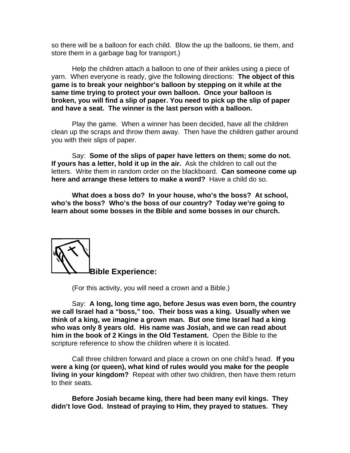so there will be a balloon for each child. Blow the up the balloons, tie them, and store them in a garbage bag for transport.)

Help the children attach a balloon to one of their ankles using a piece of yarn. When everyone is ready, give the following directions: **The object of this game is to break your neighbor's balloon by stepping on it while at the same time trying to protect your own balloon. Once your balloon is broken, you will find a slip of paper. You need to pick up the slip of paper and have a seat. The winner is the last person with a balloon.** 

Play the game. When a winner has been decided, have all the children clean up the scraps and throw them away. Then have the children gather around you with their slips of paper.

 Say: **Some of the slips of paper have letters on them; some do not. If yours has a letter, hold it up in the air.** Ask the children to call out the letters. Write them in random order on the blackboard. **Can someone come up here and arrange these letters to make a word?** Have a child do so.

**What does a boss do? In your house, who's the boss? At school, who's the boss? Who's the boss of our country? Today we're going to learn about some bosses in the Bible and some bosses in our church.** 



(For this activity, you will need a crown and a Bible.)

 Say: **A long, long time ago, before Jesus was even born, the country we call Israel had a "boss," too. Their boss was a king. Usually when we think of a king, we imagine a grown man. But one time Israel had a king who was only 8 years old. His name was Josiah, and we can read about him in the book of 2 Kings in the Old Testament.** Open the Bible to the scripture reference to show the children where it is located.

Call three children forward and place a crown on one child's head. **If you were a king (or queen), what kind of rules would you make for the people living in your kingdom?** Repeat with other two children, then have them return to their seats.

**Before Josiah became king, there had been many evil kings. They didn't love God. Instead of praying to Him, they prayed to statues. They**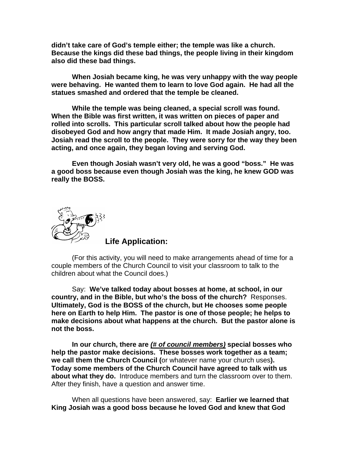**didn't take care of God's temple either; the temple was like a church. Because the kings did these bad things, the people living in their kingdom also did these bad things.** 

**When Josiah became king, he was very unhappy with the way people were behaving. He wanted them to learn to love God again. He had all the statues smashed and ordered that the temple be cleaned.** 

**While the temple was being cleaned, a special scroll was found. When the Bible was first written, it was written on pieces of paper and rolled into scrolls. This particular scroll talked about how the people had disobeyed God and how angry that made Him. It made Josiah angry, too. Josiah read the scroll to the people. They were sorry for the way they been acting, and once again, they began loving and serving God.** 

**Even though Josiah wasn't very old, he was a good "boss." He was a good boss because even though Josiah was the king, he knew GOD was really the BOSS.**



**Life Application:** 

(For this activity, you will need to make arrangements ahead of time for a couple members of the Church Council to visit your classroom to talk to the children about what the Council does.)

 Say: **We've talked today about bosses at home, at school, in our country, and in the Bible, but who's the boss of the church?** Responses. **Ultimately, God is the BOSS of the church, but He chooses some people here on Earth to help Him. The pastor is one of those people; he helps to make decisions about what happens at the church. But the pastor alone is not the boss.** 

**In our church, there are** *(# of council members)* **special bosses who help the pastor make decisions. These bosses work together as a team; we call them the Church Council (**or whatever name your church uses**). Today some members of the Church Council have agreed to talk with us about what they do.** Introduce members and turn the classroom over to them. After they finish, have a question and answer time.

When all questions have been answered, say: **Earlier we learned that King Josiah was a good boss because he loved God and knew that God**